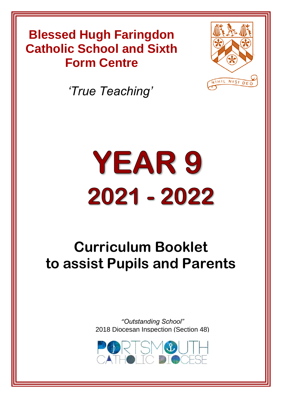# **Blessed Hugh Faringdon Blessed Hugh Faringdon Catholic School Catholic School and Sixth Form Centre**



*'True Teaching'*

# YEAR 9 2021 - 2022

# **Curriculum Booklet to assist Pupils and Parents**

*"Outstanding School"* [2018 Diocesan Inspection \(Section 48\)](https://www.google.co.uk/url?sa=i&rct=j&q=&esrc=s&source=images&cd=&cad=rja&uact=8&ved=2ahUKEwjLmcTXlvHbAhWJtRQKHZKnD6kQjRx6BAgBEAU&url=http://stswithuns.org.uk/event/eventtrinity-pilgrimage-poland-ukraine-lithuania-september-2018/&psig=AOvVaw2lr_wkmo01g66zHT0bqfR8&ust=1530097275705111)

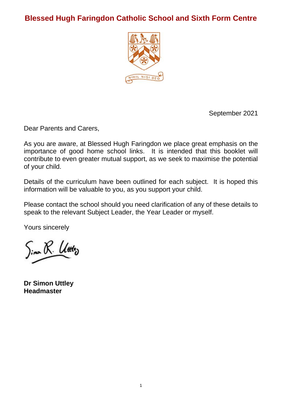### **Blessed Hugh Faringdon Catholic School and Sixth Form Centre**



September 2021

Dear Parents and Carers,

As you are aware, at Blessed Hugh Faringdon we place great emphasis on the importance of good home school links. It is intended that this booklet will contribute to even greater mutual support, as we seek to maximise the potential of your child.

Details of the curriculum have been outlined for each subject. It is hoped this information will be valuable to you, as you support your child.

Please contact the school should you need clarification of any of these details to speak to the relevant Subject Leader, the Year Leader or myself.

Yours sincerely

Sino R. Utiliz

**Dr Simon Uttley Headmaster**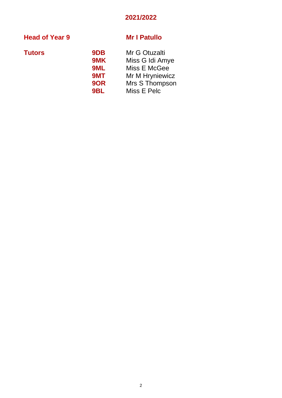### **2021/2022**

### **Head of Year 9 Mr I Patullo**

| <b>Tutors</b> | 9DB             | Mr G Otuzalti   |
|---------------|-----------------|-----------------|
|               | 9MK             | Miss G Idi Amye |
|               | 9ML             | Miss E McGee    |
|               | 9MT             | Mr M Hryniewicz |
|               | 9OR             | Mrs S Thompson  |
|               | 9 <sub>BL</sub> | Miss E Pelc     |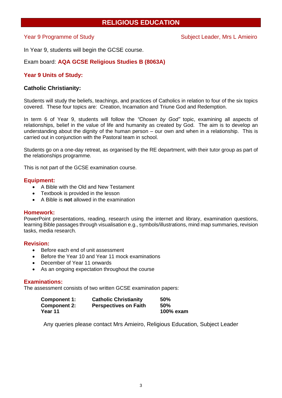### **RELIGIOUS EDUCATION**

In Year 9, students will begin the GCSE course.

### Exam board: **AQA GCSE Religious Studies B (8063A)**

### **Year 9 Units of Study:**

### **Catholic Christianity:**

Students will study the beliefs, teachings, and practices of Catholics in relation to four of the six topics covered. These four topics are: Creation, Incarnation and Triune God and Redemption.

In term 6 of Year 9, students will follow the *"Chosen by God"* topic, examining all aspects of relationships, belief in the value of life and humanity as created by God. The aim is to develop an understanding about the dignity of the human person – our own and when in a relationship. This is carried out in conjunction with the Pastoral team in school.

Students go on a one-day retreat, as organised by the RE department, with their tutor group as part of the relationships programme.

This is not part of the GCSE examination course.

### **Equipment:**

- A Bible with the Old and New Testament
- Textbook is provided in the lesson
- A Bible is **not** allowed in the examination

### **Homework:**

PowerPoint presentations, reading, research using the internet and library, examination questions, learning Bible passages through visualisation e.g., symbols/illustrations, mind map summaries, revision tasks, media research.

### **Revision:**

- Before each end of unit assessment
- Before the Year 10 and Year 11 mock examinations
- December of Year 11 onwards
- As an ongoing expectation throughout the course

### **Examinations:**

The assessment consists of two written GCSE examination papers:

| Component 1:        | <b>Catholic Christianity</b> | 50%       |
|---------------------|------------------------------|-----------|
| <b>Component 2:</b> | <b>Perspectives on Faith</b> | 50%       |
| Year 11             |                              | 100% exam |

Any queries please contact Mrs Amieiro, Religious Education, Subject Leader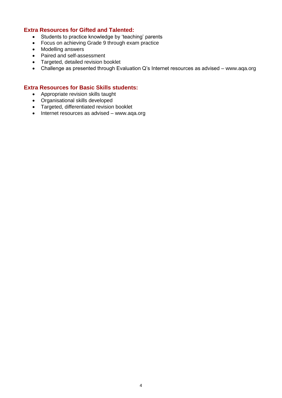### **Extra Resources for Gifted and Talented:**

- Students to practice knowledge by 'teaching' parents
- Focus on achieving Grade 9 through exam practice
- Modelling answers
- Paired and self-assessment
- Targeted, detailed revision booklet
- Challenge as presented through Evaluation Q's Internet resources as advised www.aqa.org

### **Extra Resources for Basic Skills students:**

- Appropriate revision skills taught
- Organisational skills developed
- Targeted, differentiated revision booklet
- Internet resources as advised [www.aqa.org](http://www.aqa.org/)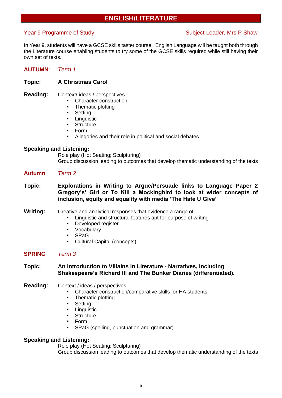### **ENGLISH/LITERATURE**

### Year 9 Programme of Study Network Subject Leader, Mrs P Shaw

In Year 9, students will have a GCSE skills taster course. English Language will be taught both through the Literature course enabling students to try some of the GCSE skills required while still having their own set of texts.

### **AUTUMN**: *Term 1*

### **Topic: A Christmas Carol**

- **Reading:** Context/ ideas / perspectives
	- Character construction
	- Thematic plotting
	- Setting
	- **■** Linguistic
	- **Structure**
	- Form
	- Allegories and their role in political and social debates.

### **Speaking and Listening:**

Role play (Hot Seating; Sculpturing) Group discussion leading to outcomes that develop thematic understanding of the texts

- **Autumn**: *Term 2*
- **Topic: Explorations in Writing to Argue/Persuade links to Language Paper 2 Gregory's' Girl or To Kill a Mockingbird to look at wider concepts of inclusion, equity and equality with media 'The Hate U Give'**

### **Writing:** Creative and analytical responses that evidence a range of:

- Linguistic and structural features apt for purpose of writing
- Developed register
- Vocabulary
- **SPaG**
- Cultural Capital (concepts)

### **SPRING** *Term 3*

### **Topic: An introduction to Villains in Literature - Narratives, including Shakespeare's Richard III and The Bunker Diaries (differentiated).**

- **Reading:** Context / ideas / perspectives
	- Character construction/comparative skills for HA students
	- Thematic plotting
	- Setting
	- **•** Linguistic
	- **•** Structure
	- **Form**
	- SPaG (spelling, punctuation and grammar)

### **Speaking and Listening:**

Role play (Hot Seating; Sculpturing)

Group discussion leading to outcomes that develop thematic understanding of the texts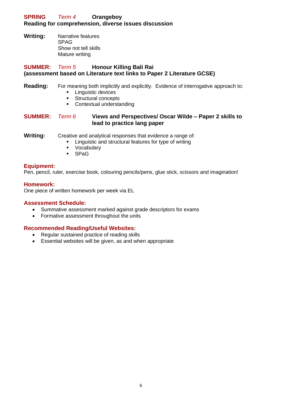### **SPRING** *Term 4* **Orangeboy Reading for comprehension, diverse issues discussion**

**Writing:** Narrative features SPAG Show not tell skills Mature writing

### **SUMMER:** *Term 5* **Honour Killing Bali Rai (assessment based on Literature text links to Paper 2 Literature GCSE)**

### **Reading:** For meaning both implicitly and explicitly. Evidence of interrogative approach to:

- **Linguistic devices**
- Structural concepts
- Contextual understanding

### **SUMMER:** *Term 6* **Views and Perspectives/ Oscar Wilde – Paper 2 skills to lead to practice lang paper**

**Writing:** Creative and analytical responses that evidence a range of:

- Linguistic and structural features for type of writing
- **Vocabulary**
- SPaG

### **Equipment:**

Pen, pencil, ruler, exercise book, colouring pencils/pens, glue stick, scissors and imagination!

### **Homework:**

One piece of written homework per week via EL

### **Assessment Schedule:**

- Summative assessment marked against grade descriptors for exams
- Formative assessment throughout the units

### **Recommended Reading/Useful Websites:**

- Regular sustained practice of reading skills
- Essential websites will be given, as and when appropriate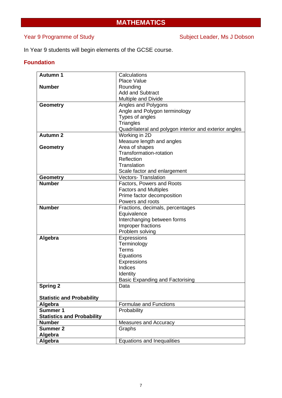### **MATHEMATICS**

### Year 9 Programme of Study Network Subject Leader, Ms J Dobson

In Year 9 students will begin elements of the GCSE course.

### **Foundation**

| <b>Autumn 1</b>                   | Calculations                                           |  |
|-----------------------------------|--------------------------------------------------------|--|
|                                   | <b>Place Value</b>                                     |  |
| <b>Number</b>                     | Rounding                                               |  |
|                                   | <b>Add and Subtract</b>                                |  |
|                                   | <b>Multiple and Divide</b>                             |  |
| <b>Geometry</b>                   | Angles and Polygons                                    |  |
|                                   | Angle and Polygon terminology                          |  |
|                                   | Types of angles                                        |  |
|                                   | <b>Triangles</b>                                       |  |
|                                   | Quadrilateral and polygon interior and exterior angles |  |
| <b>Autumn 2</b>                   | Working in 2D                                          |  |
|                                   | Measure length and angles                              |  |
| <b>Geometry</b>                   | Area of shapes                                         |  |
|                                   | Transformation-rotation                                |  |
|                                   | Reflection                                             |  |
|                                   | Translation                                            |  |
|                                   | Scale factor and enlargement                           |  |
|                                   | <b>Vectors- Translation</b>                            |  |
| <b>Geometry</b><br><b>Number</b>  |                                                        |  |
|                                   | Factors, Powers and Roots                              |  |
|                                   | <b>Factors and Multiples</b>                           |  |
|                                   | Prime factor decomposition                             |  |
|                                   | Powers and roots                                       |  |
| <b>Number</b>                     | Fractions, decimals, percentages                       |  |
|                                   | Equivalence                                            |  |
|                                   | Interchanging between forms                            |  |
|                                   | Improper fractions                                     |  |
|                                   | Problem solving                                        |  |
| Algebra                           | Expressions                                            |  |
|                                   | Terminology                                            |  |
|                                   | Terms                                                  |  |
|                                   | Equations                                              |  |
|                                   | Expressions                                            |  |
|                                   | Indices                                                |  |
|                                   | Identity                                               |  |
|                                   | <b>Basic Expanding and Factorising</b>                 |  |
| Spring 2                          | Data                                                   |  |
|                                   |                                                        |  |
| <b>Statistic and Probability</b>  |                                                        |  |
| Algebra                           | Formulae and Functions                                 |  |
| <b>Summer 1</b>                   | Probability                                            |  |
| <b>Statistics and Probability</b> |                                                        |  |
| <b>Number</b>                     | Measures and Accuracy                                  |  |
| <b>Summer 2</b>                   | Graphs                                                 |  |
| Algebra                           |                                                        |  |
| Algebra                           | Equations and Inequalities                             |  |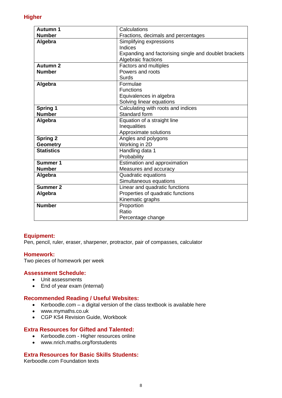| <b>Autumn 1</b>   | Calculations                                          |  |
|-------------------|-------------------------------------------------------|--|
| <b>Number</b>     |                                                       |  |
|                   | Fractions, decimals and percentages                   |  |
| Algebra           | Simplifying expressions                               |  |
|                   | Indices                                               |  |
|                   | Expanding and factorising single and doublet brackets |  |
|                   | Algebraic fractions                                   |  |
| <b>Autumn 2</b>   | Factors and multiples                                 |  |
| <b>Number</b>     | Powers and roots                                      |  |
|                   | Surds                                                 |  |
| Algebra           | Formulae                                              |  |
|                   | <b>Functions</b>                                      |  |
|                   | Equivalences in algebra                               |  |
|                   | Solving linear equations                              |  |
| <b>Spring 1</b>   | Calculating with roots and indices                    |  |
| <b>Number</b>     | Standard form                                         |  |
| Algebra           | Equation of a straight line                           |  |
|                   | Inequalities                                          |  |
|                   | Approximate solutions                                 |  |
| <b>Spring 2</b>   | Angles and polygons                                   |  |
| <b>Geometry</b>   | Working in 2D                                         |  |
| <b>Statistics</b> | Handling data 1                                       |  |
|                   | Probability                                           |  |
| <b>Summer 1</b>   | <b>Estimation and approximation</b>                   |  |
| <b>Number</b>     | Measures and accuracy                                 |  |
| Algebra           | Quadratic equations                                   |  |
|                   | Simultaneous equations                                |  |
| <b>Summer 2</b>   | Linear and quadratic functions                        |  |
| Algebra           | Properties of quadratic functions                     |  |
|                   | Kinematic graphs                                      |  |
| <b>Number</b>     | Proportion                                            |  |
|                   | Ratio                                                 |  |
|                   | Percentage change                                     |  |

### **Equipment:**

Pen, pencil, ruler, eraser, sharpener, protractor, pair of compasses, calculator

### **Homework:**

Two pieces of homework per week

### **Assessment Schedule:**

- Unit assessments
- End of year exam (internal)

### **Recommended Reading / Useful Websites:**

- Kerboodle.com a digital version of the class textbook is available here
- www.mymaths.co.uk
- CGP KS4 Revision Guide, Workbook

### **Extra Resources for Gifted and Talented:**

- Kerboodle.com Higher resources online
- www.nrich.maths.org/forstudents

### **Extra Resources for Basic Skills Students:**

Kerboodle.com Foundation texts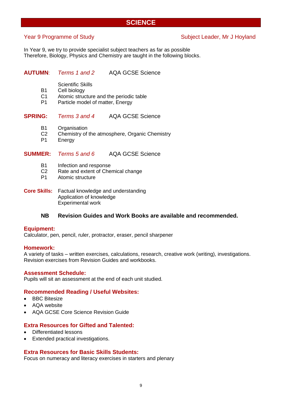### **SCIENCE**

### Year 9 Programme of Study Network Subject Leader, Mr J Hoyland

In Year 9, we try to provide specialist subject teachers as far as possible Therefore, Biology, Physics and Chemistry are taught in the following blocks.

### **AUTUMN**: *Terms 1 and 2* AQA GCSE Science

Scientific Skills

- B1 Cell biology<br>C1 Atomic struc
- Atomic structure and the periodic table
- P1 Particle model of matter, Energy

### **SPRING:** *Terms 3 and 4* AQA GCSE Science

- B1 Organisation
- C2 Chemistry of the atmosphere, Organic Chemistry<br>P1 Energy
- **Energy**

### **SUMMER:** *Terms 5 and 6* AQA GCSE Science

- B1 Infection and response
- C2 Rate and extent of Chemical change
- P1 Atomic structure
- **Core Skills:** Factual knowledge and understanding Application of knowledge Experimental work

### **NB Revision Guides and Work Books are available and recommended.**

### **Equipment:**

Calculator, pen, pencil, ruler, protractor, eraser, pencil sharpener

### **Homework:**

A variety of tasks – written exercises, calculations, research, creative work (writing), investigations. Revision exercises from Revision Guides and workbooks.

### **Assessment Schedule:**

Pupils will sit an assessment at the end of each unit studied.

### **Recommended Reading / Useful Websites:**

- **BBC** Bitesize
- AQA website
- AQA GCSE Core Science Revision Guide

### **Extra Resources for Gifted and Talented:**

- Differentiated lessons
- Extended practical investigations.

### **Extra Resources for Basic Skills Students:**

Focus on numeracy and literacy exercises in starters and plenary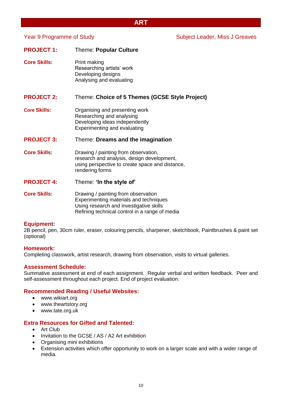### **ART**

| <b>PROJECT 1:</b>   | <b>Theme: Popular Culture</b>                                                                                                                            |
|---------------------|----------------------------------------------------------------------------------------------------------------------------------------------------------|
| <b>Core Skills:</b> | Print making<br>Researching artists' work<br>Developing designs<br>Analysing and evaluating                                                              |
| <b>PROJECT 2:</b>   | Theme: Choice of 5 Themes (GCSE Style Project)                                                                                                           |
| <b>Core Skills:</b> | Organising and presenting work<br>Researching and analysing<br>Developing ideas independently<br><b>Experimenting and evaluating</b>                     |
| <b>PROJECT 3:</b>   | Theme: Dreams and the imagination                                                                                                                        |
| <b>Core Skills:</b> | Drawing / painting from observation,<br>research and analysis, design development,<br>using perspective to create space and distance,<br>rendering forms |
| <b>PROJECT 4:</b>   | Theme: 'In the style of'                                                                                                                                 |
| <b>Core Skills:</b> | Drawing / painting from observation<br>Experimenting materials and techniques<br>Using research and investigative skills                                 |

### **Equipment:**

2B pencil, pen, 30cm ruler, eraser, colouring pencils, sharpener, sketchbook, Paintbrushes & paint set (optional)

### **Homework:**

Completing classwork, artist research, drawing from observation, visits to virtual galleries.

Refining technical control in a range of media

### **Assessment Schedule:**

Summative assessment at end of each assignment. Regular verbal and written feedback. Peer and self-assessment throughout each project. End of project evaluation.

### **Recommended Reading / Useful Websites:**

- www.wikiart.org
- www.theartstory.org
- www.tate.org.uk

### **Extra Resources for Gifted and Talented:**

- Art Club
- Invitation to the GCSE / AS / A2 Art exhibition
- Organising mini exhibitions
- Extension activities which offer opportunity to work on a larger scale and with a wider range of media.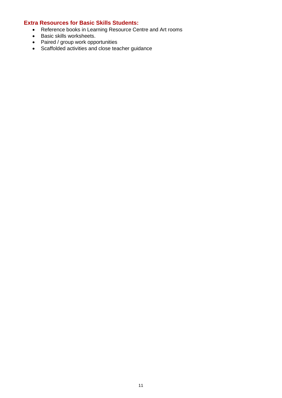### **Extra Resources for Basic Skills Students:**

- Reference books in Learning Resource Centre and Art rooms
- Basic skills worksheets.
- Paired / group work opportunities
- Scaffolded activities and close teacher guidance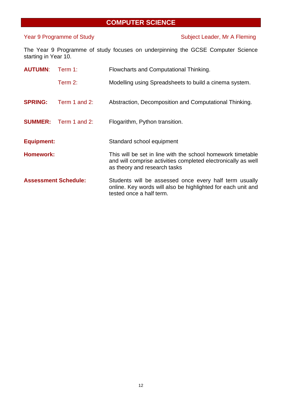### **COMPUTER SCIENCE**

### Year 9 Programme of Study Subject Leader, Mr A Fleming

The Year 9 Programme of study focuses on underpinning the GCSE Computer Science starting in Year 10.

| <b>AUTUMN:</b>    | Term 1:                     | Flowcharts and Computational Thinking.                                                                                                                       |
|-------------------|-----------------------------|--------------------------------------------------------------------------------------------------------------------------------------------------------------|
|                   | Term $2$ :                  | Modelling using Spreadsheets to build a cinema system.                                                                                                       |
| <b>SPRING:</b>    | Term 1 and 2:               | Abstraction, Decomposition and Computational Thinking.                                                                                                       |
| <b>SUMMER:</b>    | Term 1 and 2:               | Flogarithm, Python transition.                                                                                                                               |
| <b>Equipment:</b> |                             | Standard school equipment                                                                                                                                    |
| <b>Homework:</b>  |                             | This will be set in line with the school homework timetable<br>and will comprise activities completed electronically as well<br>as theory and research tasks |
|                   | <b>Assessment Schedule:</b> | Students will be assessed once every half term usually<br>online. Key words will also be highlighted for each unit and<br>tested once a half term.           |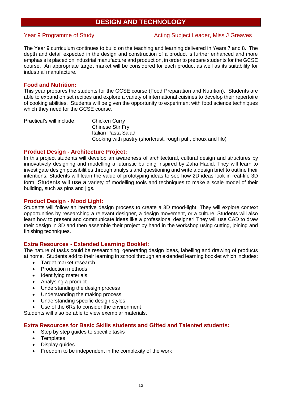### **DESIGN AND TECHNOLOGY**

### Year 9 Programme of Study Netting Subject Leader, Miss J Greaves

The Year 9 curriculum continues to build on the teaching and learning delivered in Years 7 and 8. The depth and detail expected in the design and construction of a product is further enhanced and more emphasis is placed on industrial manufacture and production, in order to prepare students for the GCSE course. An appropriate target market will be considered for each product as well as its suitability for industrial manufacture.

### **Food and Nutrition:**

This year prepares the students for the GCSE course (Food Preparation and Nutrition). Students are able to expand on set recipes and explore a variety of international cuisines to develop their repertoire of cooking abilities. Students will be given the opportunity to experiment with food science techniques which they need for the GCSE course.

Practical's will include: Chicken Curry Chinese Stir Fry Italian Pasta Salad Cooking with pastry (shortcrust, rough puff, choux and filo)

### **Product Design - Architecture Project:**

In this project students will develop an awareness of architectural, cultural design and structures by innovatively designing and modelling a futuristic building inspired by Zaha Hadid. They will learn to investigate design possibilities through analysis and questioning and write a design brief to outline their intentions. Students will learn the value of prototyping ideas to see how 2D ideas look in real-life 3D form. Students will use a variety of modelling tools and techniques to make a scale model of their building, such as pins and jigs.

### **Product Design - Mood Light:**

Students will follow an iterative design process to create a 3D mood-light. They will explore context opportunities by researching a relevant designer, a design movement, or a culture. Students will also learn how to present and communicate ideas like a professional designer! They will use CAD to draw their design in 3D and then assemble their project by hand in the workshop using cutting, joining and finishing techniques.

### **Extra Resources - Extended Learning Booklet:**

The nature of tasks could be researching, generating design ideas, labelling and drawing of products at home. Students add to their learning in school through an extended learning booklet which includes:

- Target market research
- Production methods
- Identifying materials
- Analysing a product
- Understanding the design process
- Understanding the making process
- Understanding specific design styles
- Use of the 6Rs to consider the environment

Students will also be able to view exemplar materials.

### **Extra Resources for Basic Skills students and Gifted and Talented students:**

- Step by step guides to specific tasks
- **Templates**
- Display guides
- Freedom to be independent in the complexity of the work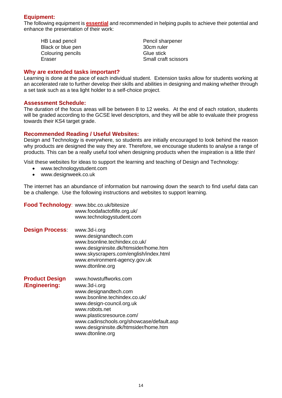### **Equipment:**

The following equipment is **essential** and recommended in helping pupils to achieve their potential and enhance the presentation of their work:

| HB Lead pencil    | Pencil sharpener   |
|-------------------|--------------------|
| Black or blue pen | 30cm ruler         |
| Colouring pencils | Glue stick         |
| Eraser            | Small craft scisso |

Eraser Small craft scissors

### **Why are extended tasks important?**

Learning is done at the pace of each individual student. Extension tasks allow for students working at an accelerated rate to further develop their skills and abilities in designing and making whether through a set task such as a tea light holder to a self-choice project.

### **Assessment Schedule:**

The duration of the focus areas will be between 8 to 12 weeks. At the end of each rotation, students will be graded according to the GCSE level descriptors, and they will be able to evaluate their progress towards their KS4 target grade.

### **Recommended Reading / Useful Websites:**

Design and Technology is everywhere, so students are initially encouraged to look behind the reason why products are designed the way they are. Therefore, we encourage students to analyse a range of products. This can be a really useful tool when designing products when the inspiration is a little thin!

Visit these websites for ideas to support the learning and teaching of Design and Technology:

- www.technologystudent.com
- www.designweek.co.uk

The internet has an abundance of information but narrowing down the search to find useful data can be a challenge. Use the following instructions and websites to support learning.

|                                        | Food Technology: www.bbc.co.uk/bitesize<br>www.foodafactoflife.org.uk/<br>www.technologystudent.com                                                                                                                                                                                   |
|----------------------------------------|---------------------------------------------------------------------------------------------------------------------------------------------------------------------------------------------------------------------------------------------------------------------------------------|
| <b>Design Process:</b>                 | www.3d-i.org<br>www.designandtech.com<br>www.bsonline.techindex.co.uk/<br>www.designinsite.dk/htmsider/home.htm<br>www.skyscrapers.com/english/index.html<br>www.environment-agency.gov.uk<br>www.dtonline.org                                                                        |
| <b>Product Design</b><br>/Engineering: | www.howstuffworks.com<br>www.3d-i.org<br>www.designandtech.com<br>www.bsonline.techindex.co.uk/<br>www.design-council.org.uk<br>www.robots.net<br>www.plasticsresource.com/<br>www.cadinschools.org/showcase/default.asp<br>www.designinsite.dk/htmsider/home.htm<br>www.dtonline.org |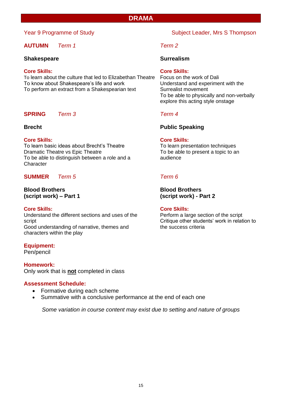### **DRAMA**

### **AUTUMN** *Term 1 Term 2*

### **Shakespeare Surrealism**

**Core Skills: Core Skills:** To learn about the culture that led to Elizabethan Theatre To know about Shakespeare's life and work Understand and experiment with the To perform an extract from a Shakespearian text Surrealist movement

### **SPRING** *Term 3 Term 4*

### **Core Skills: Core Skills:**

To learn basic ideas about Brecht's Theatre To learn presentation techniques Dramatic Theatre vs Epic Theatre Theatre To be able to present a topic to an To be able to distinguish between a role and a summa audience **Character** 

### **SUMMER** *Term 5 Term 6*

## **Blood Brothers Blood Brothers**

**Core Skills: Core Skills:** Understand the different sections and uses of the Perform a large section of the script script Critique other students' work in relation to Good understanding of narrative, themes and the success criteria characters within the play

**Equipment:**

Pen/pencil

**Homework:** Only work that is **not** completed in class

### **Assessment Schedule:**

- Formative during each scheme
- Summative with a conclusive performance at the end of each one

*Some variation in course content may exist due to setting and nature of groups*

### Year 9 Programme of Study Subject Leader, Mrs S Thompson

To be able to physically and non-verbally explore this acting style onstage

### **Brecht Public Speaking**

**(script work) – Part 1 (script work) - Part 2**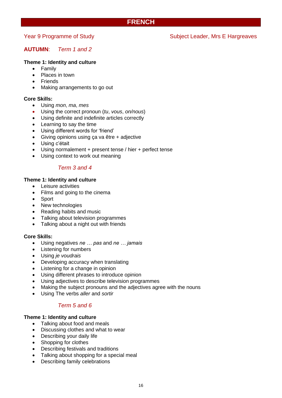### **FRENCH**

### Year 9 Programme of Study Network Subject Leader, Mrs E Hargreaves

### **AUTUMN**: *Term 1 and 2*

### **Theme 1: Identity and culture**

- Family
- Places in town
- Friends
- Making arrangements to go out

### **Core Skills:**

- Using *mon*, *ma*, *mes*
- Using the correct pronoun (*tu*, *vous*, *on/nous*)
- Using definite and indefinite articles correctly
- Learning to say the time
- Using different words for 'friend'
- Giving opinions using ça va être + adjective
- Using c'était
- Using normalement + present tense / hier + perfect tense
- Using context to work out meaning

### *Term 3 and 4*

### **Theme 1: Identity and culture**

- Leisure activities
- Films and going to the cinema
- **Sport**
- New technologies
- Reading habits and music
- Talking about television programmes
- Talking about a night out with friends

### **Core Skills:**

- Using negatives *ne … pas* and *ne … jamais*
- Listening for numbers
- Using *je voudrais*
- Developing accuracy when translating
- Listening for a change in opinion
- Using different phrases to introduce opinion
- Using adjectives to describe television programmes
- Making the subject pronouns and the adjectives agree with the nouns
- Using The verbs *aller* and *sortir*

### *Term 5 and 6*

### **Theme 1: Identity and culture**

- Talking about food and meals
- Discussing clothes and what to wear
- Describing your daily life
- Shopping for clothes
- Describing festivals and traditions
- Talking about shopping for a special meal
- Describing family celebrations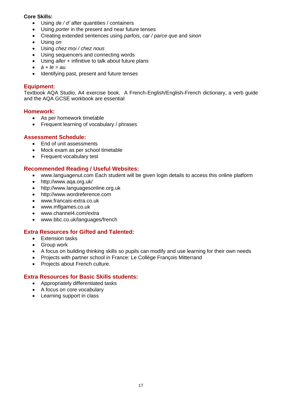### **Core Skills:**

- Using *de / d'* after quantities / containers
- Using *porter* in the present and near future tenses
- Creating extended sentences using *parfois*, *car / parce que* and *sinon*
- Using *on*
- Using *chez moi / chez nous*
- Using sequencers and connecting words
- Using *aller* + infinitive to talk about future plans
- $\dot{a} + l\dot{e} = au$
- Identifying past, present and future tenses

### **Equipment:**

Textbook AQA Studio, A4 exercise book. A French-English/English-French dictionary, a verb guide and the AQA GCSE workbook are essential

### **Homework:**

- As per homework timetable
- Frequent learning of vocabulary / phrases

### **Assessment Schedule:**

- End of unit assessments
- Mock exam as per school timetable
- Frequent vocabulary test

### **Recommended Reading / Useful Websites:**

- [www.languagenut.com](http://www.languagenut.com/) Each student will be given login details to access this online platform
- <http://www.aqa.org.uk/>
- [http://www.languagesonline.org.uk](http://www.languagesonline.org.uk/)
- [http://www.wordreference.com](http://www.wordreference.com/)
- [www.francais-extra.co.uk](http://www.francais-extra.co.uk/)
- [www.mflgames.co.uk](http://www.mflgames.co.uk/)
- [www.channel4.com/extra](http://www.channel4.com/extra)
- [www.bbc.co.uk/languages/french](http://www.bbc.co.uk/languages/french)

### **Extra Resources for Gifted and Talented:**

- Extension tasks
- Group work
- A focus on building thinking skills so pupils can modify and use learning for their own needs
- Projects with partner school in France: Le Collège François Mitterrand
- Projects about French culture.

### **Extra Resources for Basic Skills students:**

- Appropriately differentiated tasks
- A focus on core vocabulary
- Learning support in class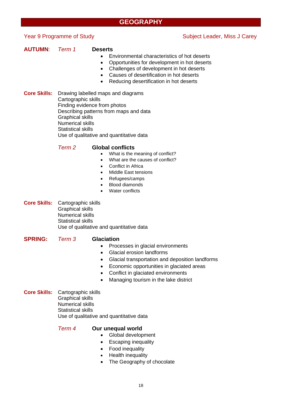### **GEOGRAPHY**

### Year 9 Programme of Study Subject Leader, Miss J Carey

### **AUTUMN**: *Term 1* **Deserts**

- Environmental characteristics of hot deserts
- Opportunities for development in hot deserts
- Challenges of development in hot deserts
- Causes of desertification in hot deserts
- Reducing desertification in hot deserts

**Core Skills:** Drawing labelled maps and diagrams Cartographic skills Finding evidence from photos Describing patterns from maps and data Graphical skills Numerical skills Statistical skills Use of qualitative and quantitative data

### *Term 2* **Global conflicts**

- What is the meaning of conflict?
- What are the causes of conflict?
- Conflict in Africa
- Middle East tensions
- Refugees/camps
- Blood diamonds
- Water conflicts
- **Core Skills:** Cartographic skills Graphical skills Numerical skills Statistical skills Use of qualitative and quantitative data

**SPRING:** *Term 3* **Glaciation**

- Processes in glacial environments
- Glacial erosion landforms
- Glacial transportation and deposition landforms
- Economic opportunities in glaciated areas
- Conflict in glaciated environments
- Managing tourism in the lake district
- **Core Skills:** Cartographic skills Graphical skills Numerical skills Statistical skills Use of qualitative and quantitative data

*Term 4* **Our unequal world**

- Global development
	- Escaping inequality
	- Food inequality
	- Health inequality
	- The Geography of chocolate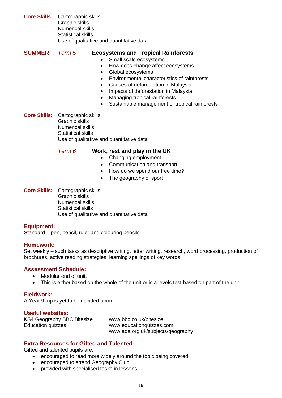**Core Skills:** Cartographic skills Graphic skills Numerical skills Statistical skills Use of qualitative and quantitative data

**SUMMER:** *Term 5* **Ecosystems and Tropical Rainforests** 

- Small scale ecosystems
- How does change affect ecosystems
- Global ecosystems
- Environmental characteristics of rainforests
- Causes of deforestation in Malaysia
- Impacts of deforestation in Malaysia
- Managing tropical rainforests
- Sustainable management of tropical rainforests

**Core Skills:** Cartographic skills Graphic skills Numerical skills Statistical skills Use of qualitative and quantitative data

*Term 6* **Work, rest and play in the UK**

- Changing employment
- Communication and transport
- How do we spend our free time?
- The geography of sport
- **Core Skills:** Cartographic skills Graphic skills Numerical skills Statistical skills Use of qualitative and quantitative data

### **Equipment:**

Standard – pen, pencil, ruler and colouring pencils.

### **Homework:**

Set weekly – such tasks as descriptive writing, letter writing, research, word processing, production of brochures, active reading strategies, learning spellings of key words

### **Assessment Schedule:**

- Modular end of unit.
- This is either based on the whole of the unit or is a levels test based on part of the unit

### **Fieldwork:**

A Year 9 trip is yet to be decided upon.

### **Useful websites:**

KS4 Geography BBC Bitesize [www.bbc.co.uk/bitesize](http://www.bbc.co.uk/bitesize) Education quizzes [www.educationquizzes.com](http://www.educationquizzes.com/)

www.aqa.org.uk/subjects/geography

### **Extra Resources for Gifted and Talented:**

Gifted and talented pupils are:

- encouraged to read more widely around the topic being covered
- encouraged to attend Geography Club
- provided with specialised tasks in lessons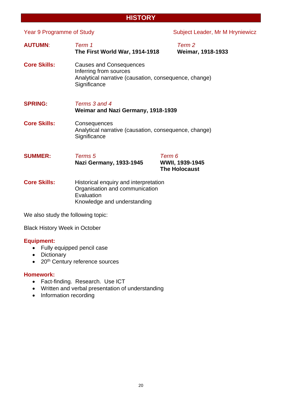### 20

**AUTUMN**: *Term 1 Term 2* **The First World War, 1914-1918 Core Skills:** Causes and Consequences Inferring from sources Analytical narrative (causation, consequence, change) **Significance SPRING:** *Terms 3 and 4* **Weimar and Nazi Germany, 1918-1939 Core Skills:** Consequences Analytical narrative (causation, consequence, change) **Significance SUMMER:** *Terms 5 Term 6*  **Nazi Germany, 1933-1945 WWII, 1939-1945 The Holocaust** 

**HISTORY**

**Core Skills:** Historical enquiry and interpretation Organisation and communication **Evaluation** Knowledge and understanding

We also study the following topic:

Black History Week in October

### **Equipment:**

- Fully equipped pencil case
- Dictionary
- 20<sup>th</sup> Century reference sources

### **Homework:**

- Fact-finding. Research. Use ICT
- Written and verbal presentation of understanding
- Information recording

### Year 9 Programme of Study Network Subject Leader, Mr M Hryniewicz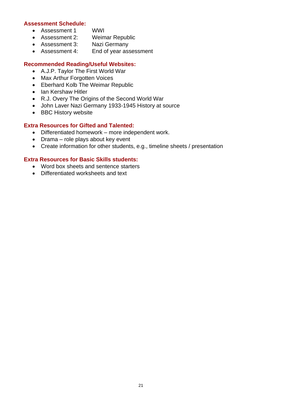### **Assessment Schedule:**

- Assessment 1 WWI
- Assessment 2: Weimar Republic
- Assessment 3: Nazi Germany
- Assessment 4: End of year assessment

### **Recommended Reading/Useful Websites:**

- A.J.P. Taylor The First World War
- Max Arthur Forgotten Voices
- Eberhard Kolb The Weimar Republic
- Ian Kershaw Hitler
- R.J. Overy The Origins of the Second World War
- John Laver Nazi Germany 1933-1945 History at source
- BBC History website

### **Extra Resources for Gifted and Talented:**

- Differentiated homework more independent work.
- Drama role plays about key event
- Create information for other students, e.g., timeline sheets / presentation

### **Extra Resources for Basic Skills students:**

- Word box sheets and sentence starters
- Differentiated worksheets and text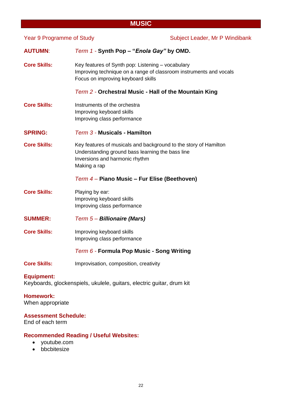### **MUSIC**

22

**AUTUMN**: *Term 1 -* **Synth Pop – "***Enola Gay"* **by OMD.**

**Core Skills:** Key features of Synth pop: Listening – vocabulary Improving technique on a range of classroom instruments and vocals Focus on improving keyboard skills

*Term 2 -* **Orchestral Music - Hall of the Mountain King**

**Core Skills:** Instruments of the orchestra Improving keyboard skills Improving class performance

### **SPRING:** *Term 3 -* **Musicals - Hamilton**

**Core Skills:** Key features of musicals and background to the story of Hamilton Understanding ground bass learning the bass line Inversions and harmonic rhythm Making a rap

### *Term 4 –* **Piano Music – Fur Elise (Beethoven)**

- **Core Skills:** Playing by ear: Improving keyboard skills Improving class performance
- **SUMMER:** *Term 5 – Billionaire (Mars)*
- **Core Skills:** Improving keyboard skills Improving class performance

### *Term 6 -* **Formula Pop Music - Song Writing**

**Core Skills:** Improvisation, composition, creativity

### **Equipment:**

Keyboards, glockenspiels, ukulele, guitars, electric guitar, drum kit

### **Homework:**

When appropriate

### **Assessment Schedule:**

End of each term

### **Recommended Reading / Useful Websites:**

- youtube.com
- bbcbitesize

### Year 9 Programme of Study Network Subject Leader, Mr P Windibank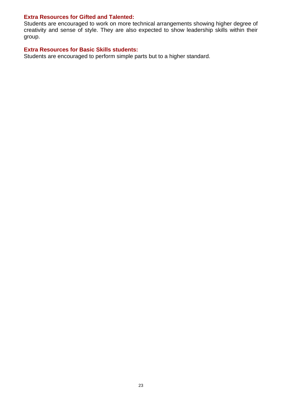### **Extra Resources for Gifted and Talented:**

Students are encouraged to work on more technical arrangements showing higher degree of creativity and sense of style. They are also expected to show leadership skills within their group.

### **Extra Resources for Basic Skills students:**

Students are encouraged to perform simple parts but to a higher standard.